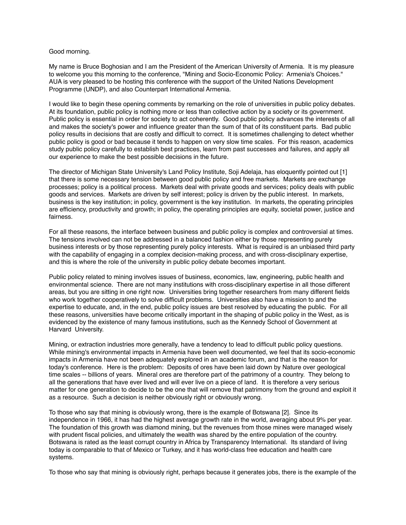## Good morning.

My name is Bruce Boghosian and I am the President of the American University of Armenia. It is my pleasure to welcome you this morning to the conference, "Mining and Socio-Economic Policy: Armenia's Choices." AUA is very pleased to be hosting this conference with the support of the United Nations Development Programme (UNDP), and also Counterpart International Armenia.

I would like to begin these opening comments by remarking on the role of universities in public policy debates. At its foundation, public policy is nothing more or less than collective action by a society or its government. Public policy is essential in order for society to act coherently. Good public policy advances the interests of all and makes the society's power and influence greater than the sum of that of its constituent parts. Bad public policy results in decisions that are costly and difficult to correct. It is sometimes challenging to detect whether public policy is good or bad because it tends to happen on very slow time scales. For this reason, academics study public policy carefully to establish best practices, learn from past successes and failures, and apply all our experience to make the best possible decisions in the future.

The director of Michigan State University's Land Policy Institute, Soji Adelaja, has eloquently pointed out [1] that there is some necessary tension between good public policy and free markets. Markets are exchange processes; policy is a political process. Markets deal with private goods and services; policy deals with public goods and services. Markets are driven by self interest; policy is driven by the public interest. In markets, business is the key institution; in policy, government is the key institution. In markets, the operating principles are efficiency, productivity and growth; in policy, the operating principles are equity, societal power, justice and fairness.

For all these reasons, the interface between business and public policy is complex and controversial at times. The tensions involved can not be addressed in a balanced fashion either by those representing purely business interests or by those representing purely policy interests. What is required is an unbiased third party with the capability of engaging in a complex decision-making process, and with cross-disciplinary expertise, and this is where the role of the university in public policy debate becomes important.

Public policy related to mining involves issues of business, economics, law, engineering, public health and environmental science. There are not many institutions with cross-disciplinary expertise in all those different areas, but you are sitting in one right now. Universities bring together researchers from many different fields who work together cooperatively to solve difficult problems. Universities also have a mission to and the expertise to educate, and, in the end, public policy issues are best resolved by educating the public. For all these reasons, universities have become critically important in the shaping of public policy in the West, as is evidenced by the existence of many famous institutions, such as the Kennedy School of Government at Harvard University.

Mining, or extraction industries more generally, have a tendency to lead to difficult public policy questions. While mining's environmental impacts in Armenia have been well documented, we feel that its socio-economic impacts in Armenia have not been adequately explored in an academic forum, and that is the reason for today's conference. Here is the problem: Deposits of ores have been laid down by Nature over geological time scales -- billions of years. Mineral ores are therefore part of the patrimony of a country. They belong to all the generations that have ever lived and will ever live on a piece of land. It is therefore a very serious matter for one generation to decide to be the one that will remove that patrimony from the ground and exploit it as a resource. Such a decision is neither obviously right or obviously wrong.

To those who say that mining is obviously wrong, there is the example of Botswana [2]. Since its independence in 1966, it has had the highest average growth rate in the world, averaging about 9% per year. The foundation of this growth was diamond mining, but the revenues from those mines were managed wisely with prudent fiscal policies, and ultimately the wealth was shared by the entire population of the country. Botswana is rated as the least corrupt country in Africa by Transparency International. Its standard of living today is comparable to that of Mexico or Turkey, and it has world-class free education and health care systems.

To those who say that mining is obviously right, perhaps because it generates jobs, there is the example of the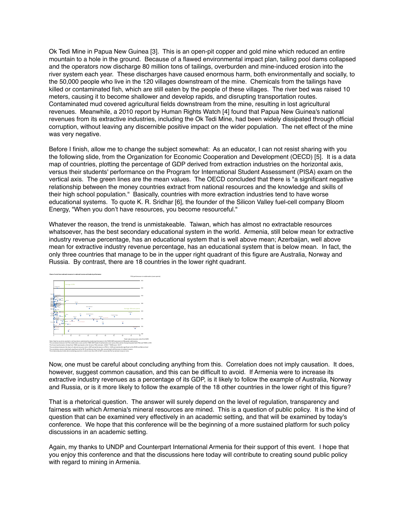Ok Tedi Mine in Papua New Guinea [3]. This is an open-pit copper and gold mine which reduced an entire mountain to a hole in the ground. Because of a flawed environmental impact plan, tailing pool dams collapsed and the operators now discharge 80 million tons of tailings, overburden and mine-induced erosion into the river system each year. These discharges have caused enormous harm, both environmentally and socially, to the 50,000 people who live in the 120 villages downstream of the mine. Chemicals from the tailings have killed or contaminated fish, which are still eaten by the people of these villages. The river bed was raised 10 meters, causing it to become shallower and develop rapids, and disrupting transportation routes. Contaminated mud covered agricultural fields downstream from the mine, resulting in lost agricultural revenues. Meanwhile, a 2010 report by Human Rights Watch [4] found that Papua New Guinea's national revenues from its extractive industries, including the Ok Tedi Mine, had been widely dissipated through official corruption, without leaving any discernible positive impact on the wider population. The net effect of the mine was very negative.

Before I finish, allow me to change the subject somewhat: As an educator, I can not resist sharing with you the following slide, from the Organization for Economic Cooperation and Development (OECD) [5]. It is a data map of countries, plotting the percentage of GDP derived from extraction industries on the horizontal axis, versus their students' performance on the Program for International Student Assessment (PISA) exam on the vertical axis. The green lines are the mean values. The OECD concluded that there is "a significant negative relationship between the money countries extract from national resources and the knowledge and skills of their high school population." Basically, countries with more extraction industries tend to have worse educational systems. To quote K. R. Sridhar [6], the founder of the Silicon Valley fuel-cell company Bloom Energy, "When you don't have resources, you become resourceful."

Whatever the reason, the trend is unmistakeable. Taiwan, which has almost no extractable resources whatsoever, has the best secondary educational system in the world. Armenia, still below mean for extractive industry revenue percentage, has an educational system that is well above mean; Azerbaijan, well above mean for extractive industry revenue percentage, has an educational system that is below mean. In fact, the only three countries that manage to be in the upper right quadrant of this figure are Australia, Norway and Russia. By contrast, there are 18 countries in the lower right quadrant.



Now, one must be careful about concluding anything from this. Correlation does not imply causation. It does, however, suggest common causation, and this can be difficult to avoid. If Armenia were to increase its extractive industry revenues as a percentage of its GDP, is it likely to follow the example of Australia, Norway and Russia, or is it more likely to follow the example of the 18 other countries in the lower right of this figure?

That is a rhetorical question. The answer will surely depend on the level of regulation, transparency and fairness with which Armenia's mineral resources are mined. This is a question of public policy. It is the kind of question that can be examined very effectively in an academic setting, and that will be examined by today's conference. We hope that this conference will be the beginning of a more sustained platform for such policy discussions in an academic setting.

Again, my thanks to UNDP and Counterpart International Armenia for their support of this event. I hope that you enjoy this conference and that the discussions here today will contribute to creating sound public policy with regard to mining in Armenia.